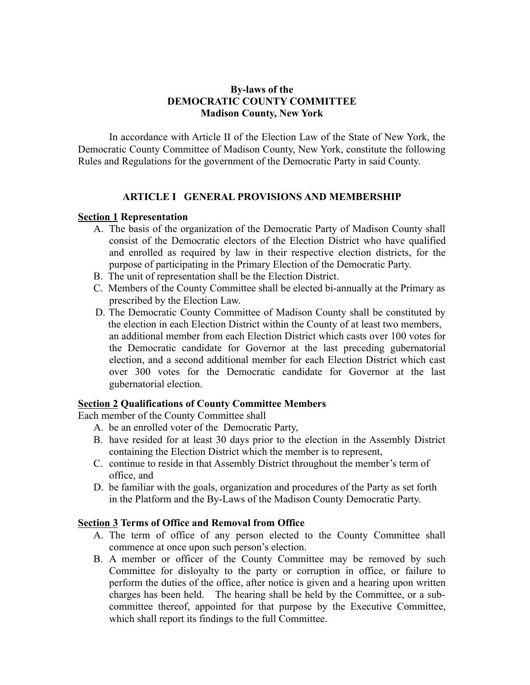### **By-laws of the DEMOCRATIC COUNTY COMMITTEE Madison County, New York**

In accordance with Article II of the Election Law of the State of New York, the Democratic County Committee of Madison County, New York, constitute the following Rules and Regulations for the government of the Democratic Party in said County.

#### **ARTICLE I GENERAL PROVISIONS AND MEMBERSHIP**

#### **Section 1 Representation**

- A. The basis of the organization of the Democratic Party of Madison County shall consist of the Democratic electors of the Election District who have qualified and enrolled as required by law in their respective election districts, for the purpose of participating in the Primary Election of the Democratic Party.
- B. The unit of representation shall be the Election District.
- C. Members of the County Committee shall be elected bi-annually at the Primary as prescribed by the Election Law.
- D. The Democratic County Committee of Madison County shall be constituted by the election in each Election District within the County of at least two members, an additional member from each Election District which casts over 100 votes for the Democratic candidate for Governor at the last preceding gubernatorial election, and a second additional member for each Election District which cast over 300 votes for the Democratic candidate for Governor at the last gubernatorial election.

#### **Section 2 Qualifications of County Committee Members**

Each member of the County Committee shall

- A. be an enrolled voter of the Democratic Party,
- B. have resided for at least 30 days prior to the election in the Assembly District containing the Election District which the member is to represent,
- C. continue to reside in that Assembly District throughout the member's term of office, and
- D. be familiar with the goals, organization and procedures of the Party as set forth in the Platform and the By-Laws of the Madison County Democratic Party.

### **Section 3 Terms of Office and Removal from Office**

- A. The term of office of any person elected to the County Committee shall commence at once upon such person's election.
- B. A member or officer of the County Committee may be removed by such Committee for disloyalty to the party or corruption in office, or failure to perform the duties of the office, after notice is given and a hearing upon written charges has been held. The hearing shall be held by the Committee, or a subcommittee thereof, appointed for that purpose by the Executive Committee, which shall report its findings to the full Committee.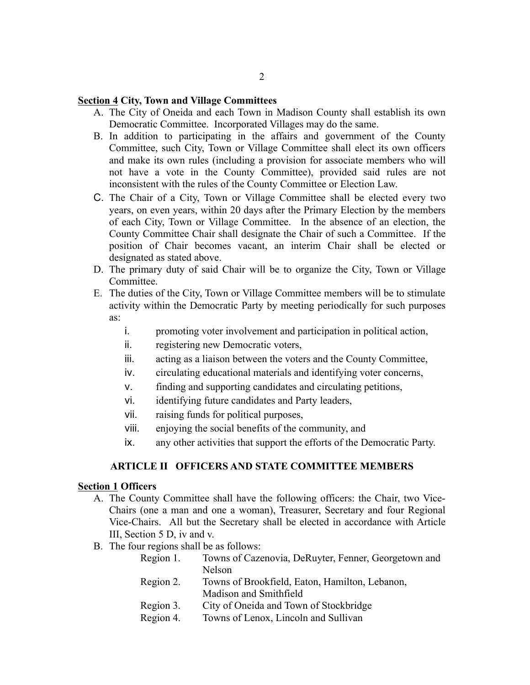#### **Section 4 City, Town and Village Committees**

- A. The City of Oneida and each Town in Madison County shall establish its own Democratic Committee. Incorporated Villages may do the same.
- B. In addition to participating in the affairs and government of the County Committee, such City, Town or Village Committee shall elect its own officers and make its own rules (including a provision for associate members who will not have a vote in the County Committee), provided said rules are not inconsistent with the rules of the County Committee or Election Law.
- C. The Chair of a City, Town or Village Committee shall be elected every two years, on even years, within 20 days after the Primary Election by the members of each City, Town or Village Committee. In the absence of an election, the County Committee Chair shall designate the Chair of such a Committee. If the position of Chair becomes vacant, an interim Chair shall be elected or designated as stated above.
- D. The primary duty of said Chair will be to organize the City, Town or Village Committee.
- E. The duties of the City, Town or Village Committee members will be to stimulate activity within the Democratic Party by meeting periodically for such purposes as:
	- i. promoting voter involvement and participation in political action,
	- ii. registering new Democratic voters,
	- iii. acting as a liaison between the voters and the County Committee,
	- iv. circulating educational materials and identifying voter concerns,
	- v. finding and supporting candidates and circulating petitions,
	- vi. identifying future candidates and Party leaders,
	- vii. raising funds for political purposes,
	- viii. enjoying the social benefits of the community, and
	- ix. any other activities that support the efforts of the Democratic Party.

#### **ARTICLE II OFFICERS AND STATE COMMITTEE MEMBERS**

## **Section 1 Officers**

- A. The County Committee shall have the following officers: the Chair, two Vice-Chairs (one a man and one a woman), Treasurer, Secretary and four Regional Vice-Chairs. All but the Secretary shall be elected in accordance with Article III, Section 5 D, iv and v.
- B. The four regions shall be as follows:

| Region 1. | Towns of Cazenovia, DeRuyter, Fenner, Georgetown and |
|-----------|------------------------------------------------------|
|           | Nelson                                               |

- Region 2. Towns of Brookfield, Eaton, Hamilton, Lebanon, Madison and Smithfield
- Region 3. City of Oneida and Town of Stockbridge
- Region 4. Towns of Lenox, Lincoln and Sullivan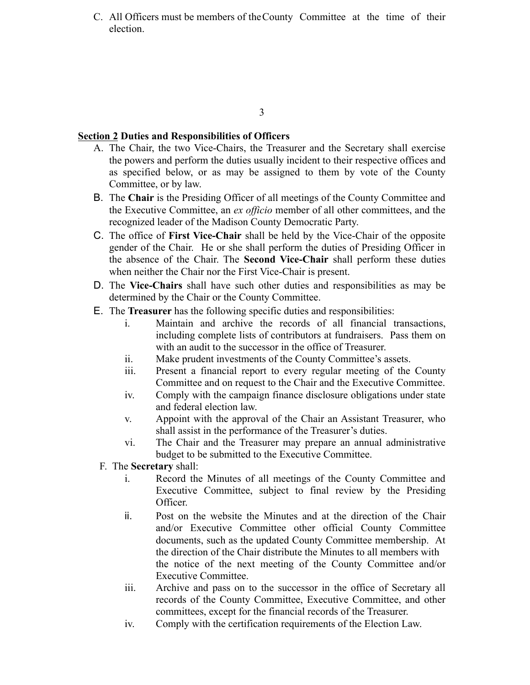C. All Officers must be members of theCounty Committee at the time of their election.

#### 3

#### **Section 2 Duties and Responsibilities of Officers**

- A. The Chair, the two Vice-Chairs, the Treasurer and the Secretary shall exercise the powers and perform the duties usually incident to their respective offices and as specified below, or as may be assigned to them by vote of the County Committee, or by law.
- **B.** The **Chair** is the Presiding Officer of all meetings of the County Committee and the Executive Committee, an *ex officio* member of all other committees, and the recognized leader of the Madison County Democratic Party.
- !" The office of **First Vice-Chair** shall be held by the Vice-Chair of the opposite gender of the Chair. He or she shall perform the duties of Presiding Officer in the absence of the Chair. The **Second Vice-Chair** shall perform these duties when neither the Chair nor the First Vice-Chair is present.
- D. The Vice-Chairs shall have such other duties and responsibilities as may be determined by the Chair or the County Committee.
- **E.** The **Treasurer** has the following specific duties and responsibilities:
	- i. Maintain and archive the records of all financial transactions, including complete lists of contributors at fundraisers. Pass them on with an audit to the successor in the office of Treasurer.
	- ii. Make prudent investments of the County Committee's assets.
	- iii. Present a financial report to every regular meeting of the County Committee and on request to the Chair and the Executive Committee.
	- iv. Comply with the campaign finance disclosure obligations under state and federal election law.
	- v. Appoint with the approval of the Chair an Assistant Treasurer, who shall assist in the performance of the Treasurer's duties.
	- vi. The Chair and the Treasurer may prepare an annual administrative budget to be submitted to the Executive Committee.
	- F. The **Secretary** shall:
		- i. Record the Minutes of all meetings of the County Committee and Executive Committee, subject to final review by the Presiding Officer.
		- $\ddot{\mathbf{i}}$  Post on the website the Minutes and at the direction of the Chair and/or Executive Committee other official County Committee documents, such as the updated County Committee membership. At the direction of the Chair distribute the Minutes to all members with the notice of the next meeting of the County Committee and/or Executive Committee.
		- iii. Archive and pass on to the successor in the office of Secretary all records of the County Committee, Executive Committee, and other committees, except for the financial records of the Treasurer.
		- iv. Comply with the certification requirements of the Election Law.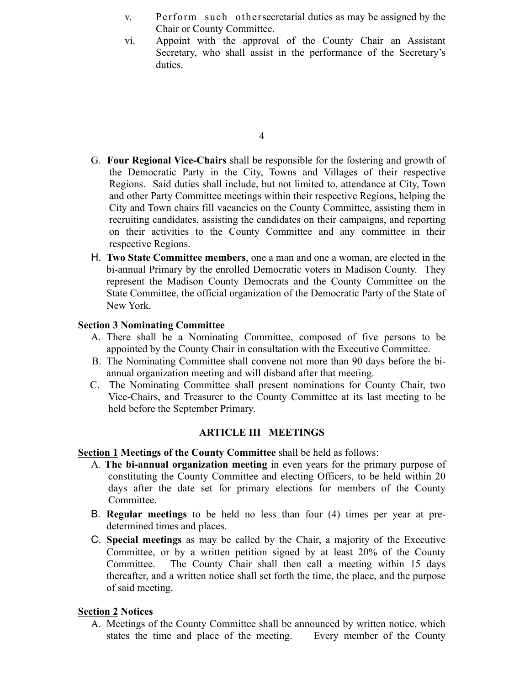- v. Perform such othersecretarial duties as may be assigned by the Chair or County Committee.
- vi. Appoint with the approval of the County Chair an Assistant Secretary, who shall assist in the performance of the Secretary's duties.

- G. **Four Regional Vice-Chairs** shall be responsible for the fostering and growth of the Democratic Party in the City, Towns and Villages of their respective Regions. Said duties shall include, but not limited to, attendance at City, Town and other Party Committee meetings within their respective Regions, helping the City and Town chairs fill vacancies on the County Committee, assisting them in recruiting candidates, assisting the candidates on their campaigns, and reporting on their activities to the County Committee and any committee in their respective Regions.
- H. Two State Committee members, one a man and one a woman, are elected in the bi-annual Primary by the enrolled Democratic voters in Madison County. They represent the Madison County Democrats and the County Committee on the State Committee, the official organization of the Democratic Party of the State of New York.

### **Section 3 Nominating Committee**

- A. There shall be a Nominating Committee, composed of five persons to be appointed by the County Chair in consultation with the Executive Committee.
- B. The Nominating Committee shall convene not more than 90 days before the biannual organization meeting and will disband after that meeting.
- C. The Nominating Committee shall present nominations for County Chair, two Vice-Chairs, and Treasurer to the County Committee at its last meeting to be held before the September Primary.

#### **ARTICLE III MEETINGS**

#### **Section 1 Meetings of the County Committee** shall be held as follows:

- A. **The bi-annual organization meeting** in even years for the primary purpose of constituting the County Committee and electing Officers, to be held within 20 days after the date set for primary elections for members of the County Committee.
- B. Regular meetings to be held no less than four (4) times per year at predetermined times and places.
- **C.** Special meetings as may be called by the Chair, a majority of the Executive Committee, or by a written petition signed by at least 20% of the County Committee. The County Chair shall then call a meeting within 15 days thereafter, and a written notice shall set forth the time, the place, and the purpose of said meeting.

#### **Section 2 Notices**

A. Meetings of the County Committee shall be announced by written notice, which states the time and place of the meeting. Every member of the County

<sup>4</sup>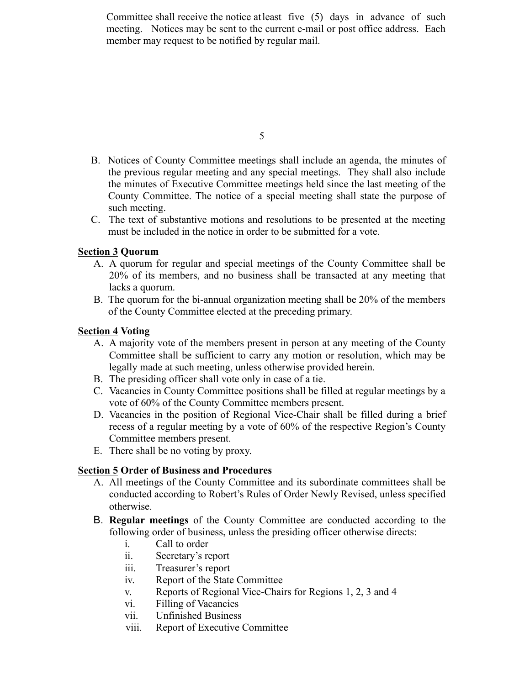Committee shall receive the notice atleast five (5) days in advance of such meeting. Notices may be sent to the current e-mail or post office address. Each member may request to be notified by regular mail.

5

- B. Notices of County Committee meetings shall include an agenda, the minutes of the previous regular meeting and any special meetings. They shall also include the minutes of Executive Committee meetings held since the last meeting of the County Committee. The notice of a special meeting shall state the purpose of such meeting.
- C. The text of substantive motions and resolutions to be presented at the meeting must be included in the notice in order to be submitted for a vote.

# **Section 3 Quorum**

- A. A quorum for regular and special meetings of the County Committee shall be 20% of its members, and no business shall be transacted at any meeting that lacks a quorum.
- B. The quorum for the bi-annual organization meeting shall be 20% of the members of the County Committee elected at the preceding primary.

# **Section 4 Voting**

- A. A majority vote of the members present in person at any meeting of the County Committee shall be sufficient to carry any motion or resolution, which may be legally made at such meeting, unless otherwise provided herein.
- B. The presiding officer shall vote only in case of a tie.
- C. Vacancies in County Committee positions shall be filled at regular meetings by a vote of 60% of the County Committee members present.
- D. Vacancies in the position of Regional Vice-Chair shall be filled during a brief recess of a regular meeting by a vote of 60% of the respective Region's County Committee members present.
- E. There shall be no voting by proxy.

# **Section 5 Order of Business and Procedures**

- A. All meetings of the County Committee and its subordinate committees shall be conducted according to Robert's Rules of Order Newly Revised, unless specified otherwise.
- !" **Regular meetings** of the County Committee are conducted according to the following order of business, unless the presiding officer otherwise directs:
	- i. Call to order
	- ii. Secretary's report
	- iii. Treasurer's report
	- iv. Report of the State Committee
	- v. Reports of Regional Vice-Chairs for Regions 1, 2, 3 and 4
	- vi. Filling of Vacancies
	- vii. Unfinished Business
	- viii. Report of Executive Committee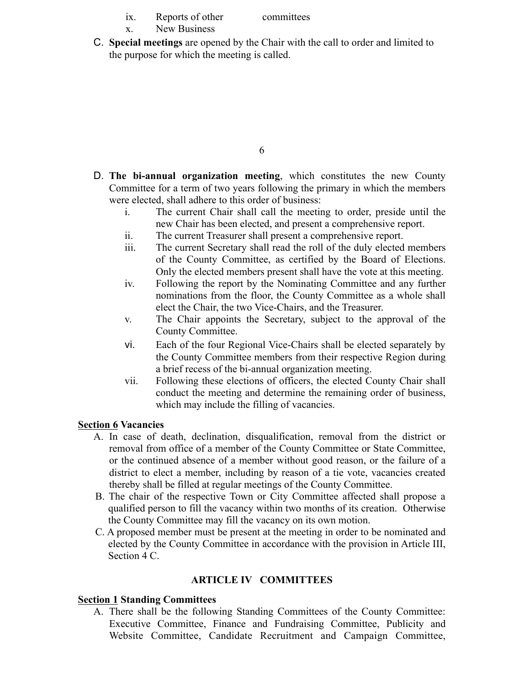- ix. Reports of other committees
- x. New Business
- **C.** Special meetings are opened by the Chair with the call to order and limited to the purpose for which the meeting is called.

- \$" **The bi-annual organization meeting**, which constitutes the new County Committee for a term of two years following the primary in which the members were elected, shall adhere to this order of business:
	- i. The current Chair shall call the meeting to order, preside until the new Chair has been elected, and present a comprehensive report.
	- ii. The current Treasurer shall present a comprehensive report.
	- iii. The current Secretary shall read the roll of the duly elected members of the County Committee, as certified by the Board of Elections. Only the elected members present shall have the vote at this meeting.
	- iv. Following the report by the Nominating Committee and any further nominations from the floor, the County Committee as a whole shall elect the Chair, the two Vice-Chairs, and the Treasurer.
	- v. The Chair appoints the Secretary, subject to the approval of the County Committee.
	- vi. Each of the four Regional Vice-Chairs shall be elected separately by the County Committee members from their respective Region during a brief recess of the bi-annual organization meeting.
	- vii. Following these elections of officers, the elected County Chair shall conduct the meeting and determine the remaining order of business, which may include the filling of vacancies.

#### **Section 6 Vacancies**

- A. In case of death, declination, disqualification, removal from the district or removal from office of a member of the County Committee or State Committee, or the continued absence of a member without good reason, or the failure of a district to elect a member, including by reason of a tie vote, vacancies created thereby shall be filled at regular meetings of the County Committee.
- B. The chair of the respective Town or City Committee affected shall propose a qualified person to fill the vacancy within two months of its creation. Otherwise the County Committee may fill the vacancy on its own motion.
- C. A proposed member must be present at the meeting in order to be nominated and elected by the County Committee in accordance with the provision in Article III, Section 4 C.

#### **ARTICLE IV COMMITTEES**

## **Section 1 Standing Committees**

A. There shall be the following Standing Committees of the County Committee: Executive Committee, Finance and Fundraising Committee, Publicity and Website Committee, Candidate Recruitment and Campaign Committee,

<sup>6</sup>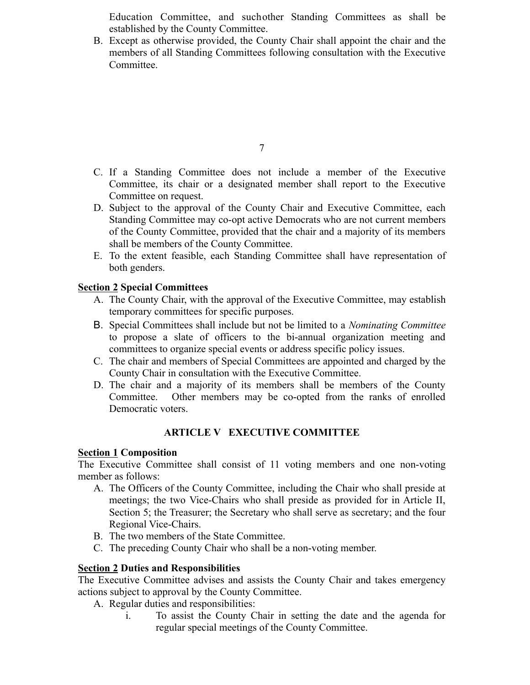Education Committee, and suchother Standing Committees as shall be established by the County Committee.

B. Except as otherwise provided, the County Chair shall appoint the chair and the members of all Standing Committees following consultation with the Executive Committee.

- C. If a Standing Committee does not include a member of the Executive Committee, its chair or a designated member shall report to the Executive Committee on request.
- D. Subject to the approval of the County Chair and Executive Committee, each Standing Committee may co-opt active Democrats who are not current members of the County Committee, provided that the chair and a majority of its members shall be members of the County Committee.
- E. To the extent feasible, each Standing Committee shall have representation of both genders.

# **Section 2 Special Committees**

- A. The County Chair, with the approval of the Executive Committee, may establish temporary committees for specific purposes.
- !" Special Committees shall include but not be limited to a *Nominating Committee* to propose a slate of officers to the bi-annual organization meeting and committees to organize special events or address specific policy issues.
- C. The chair and members of Special Committees are appointed and charged by the County Chair in consultation with the Executive Committee.
- D. The chair and a majority of its members shall be members of the County Committee. Other members may be co-opted from the ranks of enrolled Democratic voters.

# **ARTICLE V EXECUTIVE COMMITTEE**

#### **Section 1 Composition**

The Executive Committee shall consist of 11 voting members and one non-voting member as follows:

- A. The Officers of the County Committee, including the Chair who shall preside at meetings; the two Vice-Chairs who shall preside as provided for in Article II, Section 5; the Treasurer; the Secretary who shall serve as secretary; and the four Regional Vice-Chairs.
- B. The two members of the State Committee.
- C. The preceding County Chair who shall be a non-voting member.

#### **Section 2 Duties and Responsibilities**

The Executive Committee advises and assists the County Chair and takes emergency actions subject to approval by the County Committee.

- A. Regular duties and responsibilities:
	- i. To assist the County Chair in setting the date and the agenda for regular special meetings of the County Committee.

<sup>7</sup>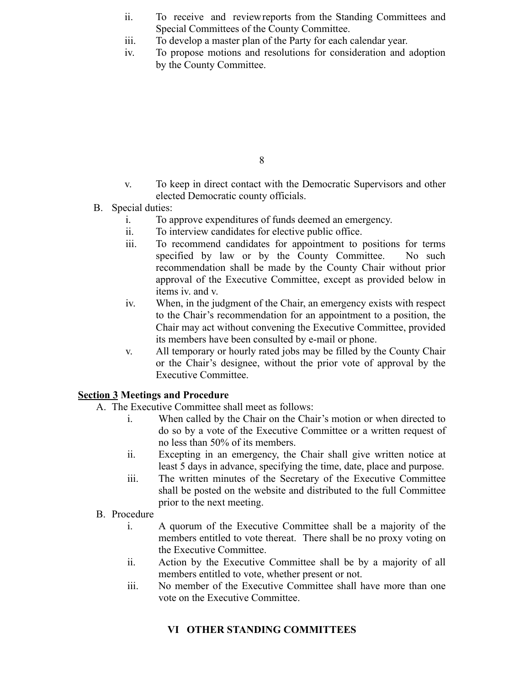- ii. To receive and reviewreports from the Standing Committees and Special Committees of the County Committee.
- iii. To develop a master plan of the Party for each calendar year.
- iv. To propose motions and resolutions for consideration and adoption by the County Committee.

- v. To keep in direct contact with the Democratic Supervisors and other elected Democratic county officials.
- B. Special duties:
	- i. To approve expenditures of funds deemed an emergency.
	- ii. To interview candidates for elective public office.
	- iii. To recommend candidates for appointment to positions for terms specified by law or by the County Committee. No such recommendation shall be made by the County Chair without prior approval of the Executive Committee, except as provided below in items iv. and v.
	- iv. When, in the judgment of the Chair, an emergency exists with respect to the Chair's recommendation for an appointment to a position, the Chair may act without convening the Executive Committee, provided its members have been consulted by e-mail or phone.
	- v. All temporary or hourly rated jobs may be filled by the County Chair or the Chair's designee, without the prior vote of approval by the Executive Committee.

# **Section 3 Meetings and Procedure**

- A. The Executive Committee shall meet as follows:
	- i. When called by the Chair on the Chair's motion or when directed to do so by a vote of the Executive Committee or a written request of no less than 50% of its members.
	- ii. Excepting in an emergency, the Chair shall give written notice at least 5 days in advance, specifying the time, date, place and purpose.
	- iii. The written minutes of the Secretary of the Executive Committee shall be posted on the website and distributed to the full Committee prior to the next meeting.
- B. Procedure
	- i. A quorum of the Executive Committee shall be a majority of the members entitled to vote thereat. There shall be no proxy voting on the Executive Committee.
	- ii. Action by the Executive Committee shall be by a majority of all members entitled to vote, whether present or not.
	- iii. No member of the Executive Committee shall have more than one vote on the Executive Committee.

# **VI OTHER STANDING COMMITTEES**

<sup>8</sup>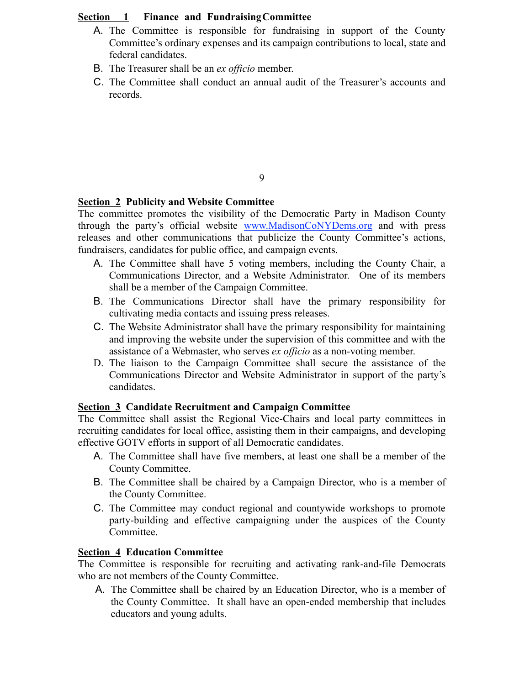## **Section 1 Finance and FundraisingCommittee**

- A. The Committee is responsible for fundraising in support of the County Committee's ordinary expenses and its campaign contributions to local, state and federal candidates.
- B. The Treasurer shall be an *ex officio* member.
- C. The Committee shall conduct an annual audit of the Treasurer's accounts and records.

## 9

# **Section 2 Publicity and Website Committee**

The committee promotes the visibility of the Democratic Party in Madison County through the party's official website www.MadisonCoNYDems.org and with press releases and other communications that publicize the County Committee's actions, fundraisers, candidates for public office, and campaign events.

- A. The Committee shall have 5 voting members, including the County Chair, a Communications Director, and a Website Administrator. One of its members shall be a member of the Campaign Committee.
- B. The Communications Director shall have the primary responsibility for cultivating media contacts and issuing press releases.
- C. The Website Administrator shall have the primary responsibility for maintaining and improving the website under the supervision of this committee and with the assistance of a Webmaster, who serves *ex officio* as a non-voting member.
- D. The liaison to the Campaign Committee shall secure the assistance of the Communications Director and Website Administrator in support of the party's candidates.

# **Section 3 Candidate Recruitment and Campaign Committee**

The Committee shall assist the Regional Vice-Chairs and local party committees in recruiting candidates for local office, assisting them in their campaigns, and developing effective GOTV efforts in support of all Democratic candidates.

- A. The Committee shall have five members, at least one shall be a member of the County Committee.
- B. The Committee shall be chaired by a Campaign Director, who is a member of the County Committee.
- $C$ . The Committee may conduct regional and countywide workshops to promote party-building and effective campaigning under the auspices of the County Committee.

# **Section 4 Education Committee**

The Committee is responsible for recruiting and activating rank-and-file Democrats who are not members of the County Committee.

A. The Committee shall be chaired by an Education Director, who is a member of the County Committee. It shall have an open-ended membership that includes educators and young adults.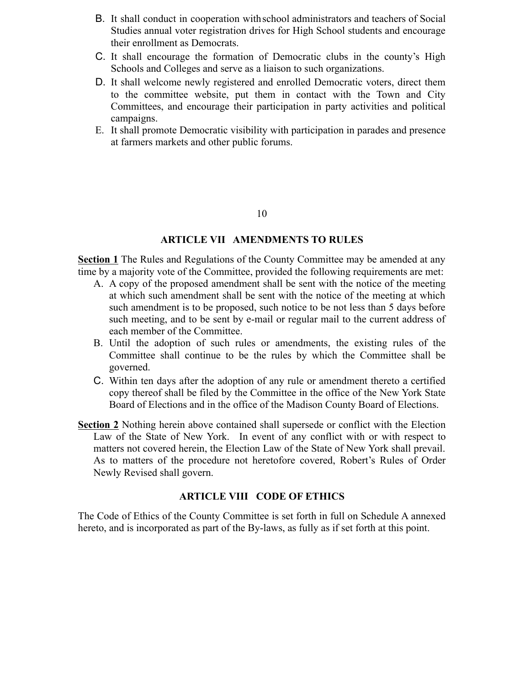- B. It shall conduct in cooperation with school administrators and teachers of Social Studies annual voter registration drives for High School students and encourage their enrollment as Democrats.
- C. It shall encourage the formation of Democratic clubs in the county's High Schools and Colleges and serve as a liaison to such organizations.
- D. It shall welcome newly registered and enrolled Democratic voters, direct them to the committee website, put them in contact with the Town and City Committees, and encourage their participation in party activities and political campaigns.
- E. It shall promote Democratic visibility with participation in parades and presence at farmers markets and other public forums.

#### 10

#### **ARTICLE VII AMENDMENTS TO RULES**

**Section 1** The Rules and Regulations of the County Committee may be amended at any time by a majority vote of the Committee, provided the following requirements are met:

- A. A copy of the proposed amendment shall be sent with the notice of the meeting at which such amendment shall be sent with the notice of the meeting at which such amendment is to be proposed, such notice to be not less than 5 days before such meeting, and to be sent by e-mail or regular mail to the current address of each member of the Committee.
- B. Until the adoption of such rules or amendments, the existing rules of the Committee shall continue to be the rules by which the Committee shall be governed.
- C. Within ten days after the adoption of any rule or amendment thereto a certified copy thereof shall be filed by the Committee in the office of the New York State Board of Elections and in the office of the Madison County Board of Elections.
- **Section 2** Nothing herein above contained shall supersede or conflict with the Election Law of the State of New York. In event of any conflict with or with respect to matters not covered herein, the Election Law of the State of New York shall prevail. As to matters of the procedure not heretofore covered, Robert's Rules of Order Newly Revised shall govern.

#### **ARTICLE VIII CODE OF ETHICS**

The Code of Ethics of the County Committee is set forth in full on Schedule A annexed hereto, and is incorporated as part of the By-laws, as fully as if set forth at this point.